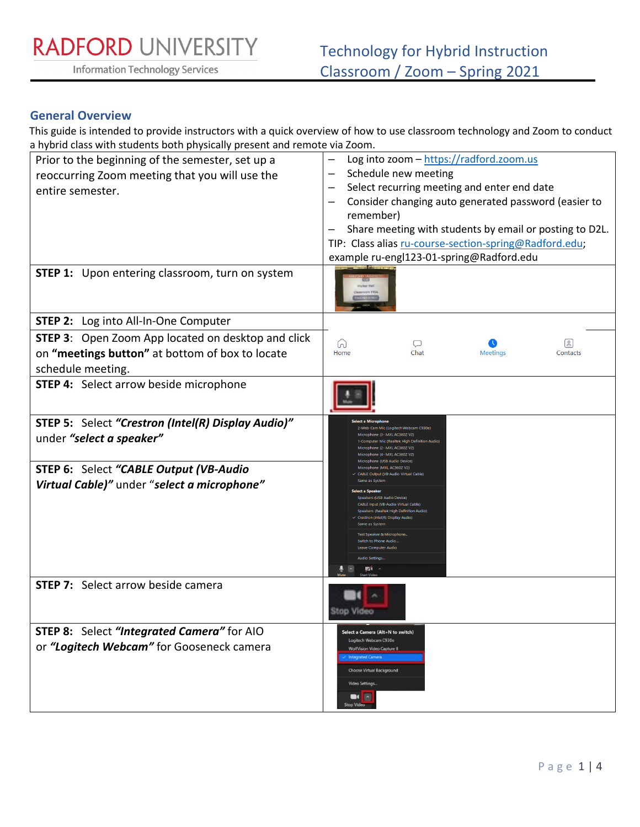RADFORD UNIVERSITY

**Information Technology Services** 

### **General Overview**

This guide is intended to provide instructors with a quick overview of how to use classroom technology and Zoom to conduct a hybrid class with students both physically present and remote via Zoom.

| <b>The clubs</b> with staathes both physically present and remote via Lo<br>Prior to the beginning of the semester, set up a<br>reoccurring Zoom meeting that you will use the<br>entire semester.<br><b>STEP 1:</b> Upon entering classroom, turn on system | Log into zoom - https://radford.zoom.us<br>Schedule new meeting<br>Select recurring meeting and enter end date<br>remember)<br>TIP: Class alias ru-course-section-spring@Radford.edu;<br>example ru-engl123-01-spring@Radford.edu                                                                                                                                                                                                                                                                                                                                                                                                                | Consider changing auto generated password (easier to<br>Share meeting with students by email or posting to D2L. |
|--------------------------------------------------------------------------------------------------------------------------------------------------------------------------------------------------------------------------------------------------------------|--------------------------------------------------------------------------------------------------------------------------------------------------------------------------------------------------------------------------------------------------------------------------------------------------------------------------------------------------------------------------------------------------------------------------------------------------------------------------------------------------------------------------------------------------------------------------------------------------------------------------------------------------|-----------------------------------------------------------------------------------------------------------------|
|                                                                                                                                                                                                                                                              |                                                                                                                                                                                                                                                                                                                                                                                                                                                                                                                                                                                                                                                  |                                                                                                                 |
| STEP 2: Log into All-In-One Computer                                                                                                                                                                                                                         |                                                                                                                                                                                                                                                                                                                                                                                                                                                                                                                                                                                                                                                  |                                                                                                                 |
| <b>STEP 3:</b> Open Zoom App located on desktop and click<br>on "meetings button" at bottom of box to locate<br>schedule meeting.                                                                                                                            | ⋒<br>Q<br>Home<br>Chat                                                                                                                                                                                                                                                                                                                                                                                                                                                                                                                                                                                                                           | B<br><b>Meetings</b><br>Contacts                                                                                |
| <b>STEP 4:</b> Select arrow beside microphone                                                                                                                                                                                                                |                                                                                                                                                                                                                                                                                                                                                                                                                                                                                                                                                                                                                                                  |                                                                                                                 |
| STEP 5: Select "Crestron (Intel(R) Display Audio)"<br>under "select a speaker"                                                                                                                                                                               | 2-Web Cam Mic (Logitech Webcam C930e)<br>Microphone (3- MXL AC360Z V2)<br>-Computer Mic (Realtek High Definition Audio<br>Microphone (2- MXL AC360Z V2)<br>Microphone (4- MXL AC360Z V2)<br>Microphone (USB Audio Device)<br>Microphone (MXL AC360Z V2)<br>← CABLE Output (VB-Audio Virtual Cable)<br>Same as System<br><b>Select a Speaker</b><br>Speakers (USB Audio Device)<br>CABLE Input (VB-Audio Virtual Cable)<br>Speakers (Realtek High Definition Audio)<br>Crestron (Intel(R) Display Audio)<br>Same as System<br>Test Speaker & Microphone<br>Switch to Phone Audio<br><b>Leave Computer Audio</b><br>Audio Settings<br>$\mathbb{Z}$ |                                                                                                                 |
| STEP 6: Select "CABLE Output (VB-Audio<br>Virtual Cable)" under "select a microphone"                                                                                                                                                                        |                                                                                                                                                                                                                                                                                                                                                                                                                                                                                                                                                                                                                                                  |                                                                                                                 |
| <b>STEP 7:</b> Select arrow beside camera                                                                                                                                                                                                                    |                                                                                                                                                                                                                                                                                                                                                                                                                                                                                                                                                                                                                                                  |                                                                                                                 |
| STEP 8: Select "Integrated Camera" for AIO<br>or "Logitech Webcam" for Gooseneck camera                                                                                                                                                                      | Select a Camera (Alt+N to switch)<br>Logitech Webcam C930e<br><b>WolfVision Video Capture II</b><br><b>Integrated Camera</b><br>Choose Virtual Background<br>Video Settings<br>Ŀ<br>$\blacksquare$<br><b>Stop Video</b>                                                                                                                                                                                                                                                                                                                                                                                                                          |                                                                                                                 |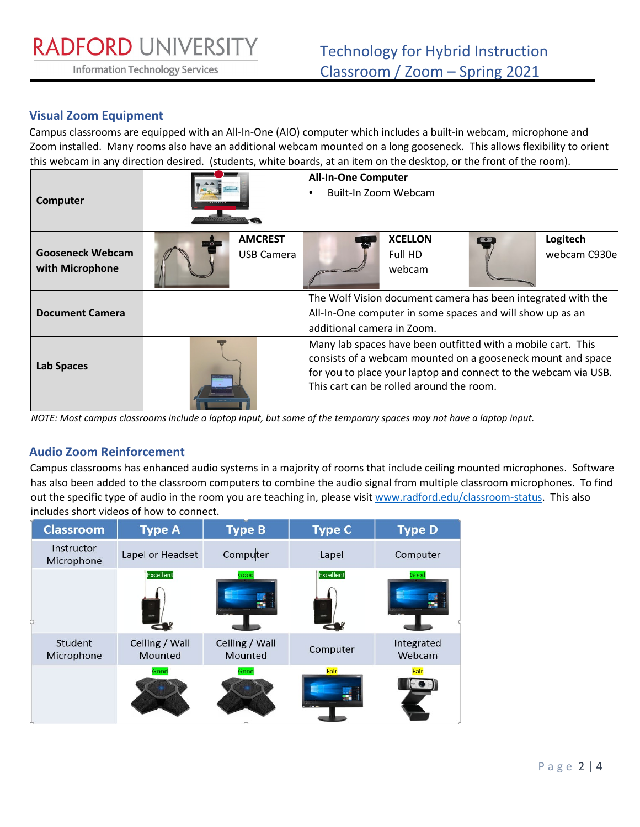**Information Technology Services** 

## **Visual Zoom Equipment**

Campus classrooms are equipped with an All-In-One (AIO) computer which includes a built-in webcam, microphone and Zoom installed. Many rooms also have an additional webcam mounted on a long gooseneck. This allows flexibility to orient this webcam in any direction desired. (students, white boards, at an item on the desktop, or the front of the room).

| Computer                                   |  |                                     | <b>All-In-One Computer</b><br>Built-In Zoom Webcam                                                                                                                                                                                         |                                     |  |                           |
|--------------------------------------------|--|-------------------------------------|--------------------------------------------------------------------------------------------------------------------------------------------------------------------------------------------------------------------------------------------|-------------------------------------|--|---------------------------|
| <b>Gooseneck Webcam</b><br>with Microphone |  | <b>AMCREST</b><br><b>USB Camera</b> |                                                                                                                                                                                                                                            | <b>XCELLON</b><br>Full HD<br>webcam |  | Logitech<br>webcam C930el |
| <b>Document Camera</b>                     |  |                                     | The Wolf Vision document camera has been integrated with the<br>All-In-One computer in some spaces and will show up as an<br>additional camera in Zoom.                                                                                    |                                     |  |                           |
| <b>Lab Spaces</b>                          |  |                                     | Many lab spaces have been outfitted with a mobile cart. This<br>consists of a webcam mounted on a gooseneck mount and space<br>for you to place your laptop and connect to the webcam via USB.<br>This cart can be rolled around the room. |                                     |  |                           |

*NOTE: Most campus classrooms include a laptop input, but some of the temporary spaces may not have a laptop input.* 

### **Audio Zoom Reinforcement**

Campus classrooms has enhanced audio systems in a majority of rooms that include ceiling mounted microphones. Software has also been added to the classroom computers to combine the audio signal from multiple classroom microphones. To find out the specific type of audio in the room you are teaching in, please visit [www.radford.edu/classroom-status.](http://www.radford.edu/classroom-status) This also includes short videos of how to connect.

| <b>Classroom</b>         | <b>Type A</b>             | <b>Type B</b>             | <b>Type C</b>    | <b>Type D</b>        |
|--------------------------|---------------------------|---------------------------|------------------|----------------------|
| Instructor<br>Microphone | Lapel or Headset          | Computer                  | Lapel            | Computer             |
|                          | <b>Excellent</b>          | Good                      | <b>Excellent</b> | Good                 |
| Student<br>Microphone    | Ceiling / Wall<br>Mounted | Ceiling / Wall<br>Mounted | Computer         | Integrated<br>Webcam |
|                          | Good                      | Good                      | Fair             | Fair                 |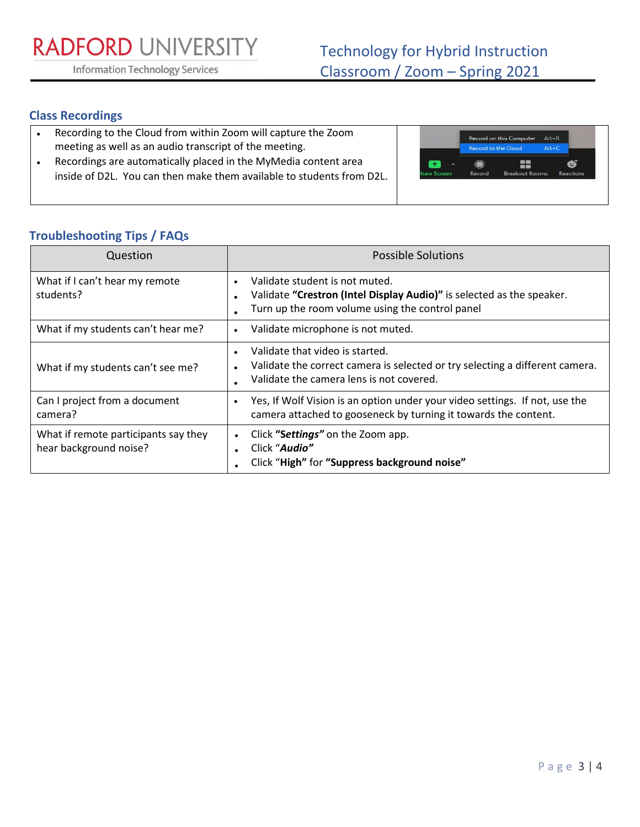**RADFORD UNIVERSITY** 

**Information Technology Services** 

## **Class Recordings**

- Recording to the Cloud from within Zoom will capture the Zoom meeting as well as an audio transcript of the meeting.
- Recordings are automatically placed in the MyMedia content area inside of D2L. You can then make them available to students from D2L.



# **Troubleshooting Tips / FAQs**

| Question                                                       | <b>Possible Solutions</b>                                                                                                                                                     |
|----------------------------------------------------------------|-------------------------------------------------------------------------------------------------------------------------------------------------------------------------------|
| What if I can't hear my remote<br>students?                    | Validate student is not muted.<br>Validate "Crestron (Intel Display Audio)" is selected as the speaker.<br>Turn up the room volume using the control panel                    |
| What if my students can't hear me?                             | Validate microphone is not muted.<br>$\bullet$                                                                                                                                |
| What if my students can't see me?                              | Validate that video is started.<br>$\bullet$<br>Validate the correct camera is selected or try selecting a different camera.<br>٠<br>Validate the camera lens is not covered. |
| Can I project from a document<br>camera?                       | Yes, If Wolf Vision is an option under your video settings. If not, use the<br>$\bullet$<br>camera attached to gooseneck by turning it towards the content.                   |
| What if remote participants say they<br>hear background noise? | Click "Settings" on the Zoom app.<br>$\bullet$<br>Click "Audio"<br>Click "High" for "Suppress background noise"                                                               |